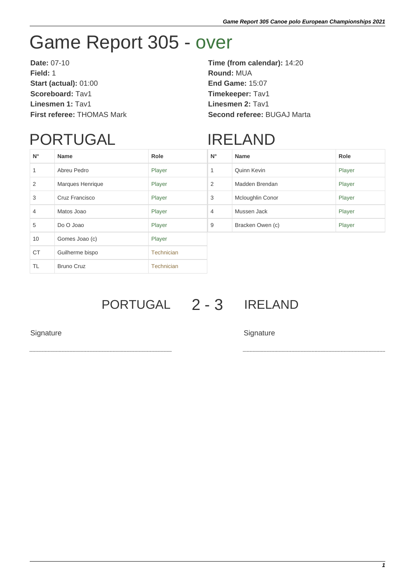## Game Report 305 - over

**Date:** 07-10 **Time (from calendar):** 14:20 **Field:** 1 **Round:** MUA **Start (actual):** 01:00 **End Game:** 15:07 **Scoreboard:** Tav1 **Timekeeper:** Tav1 **Linesmen 1:** Tav1 **Linesmen 2:** Tav1

**First referee:** THOMAS Mark **Second referee:** BUGAJ Marta

## PORTUGAL

## IRELAND

| $N^{\circ}$ | <b>Name</b>       | Role              | $N^{\circ}$    | <b>Name</b>      | Role   |
|-------------|-------------------|-------------------|----------------|------------------|--------|
|             | Abreu Pedro       | Player            | 1              | Quinn Kevin      | Player |
| 2           | Marques Henrique  | Player            | $\overline{2}$ | Madden Brendan   | Player |
| 3           | Cruz Francisco    | Player            | 3              | Mcloughlin Conor | Player |
| 4           | Matos Joao        | Player            | $\overline{4}$ | Mussen Jack      | Player |
| 5           | Do O Joao         | Player            | 9              | Bracken Owen (c) | Player |
| 10          | Gomes Joao (c)    | Player            |                |                  |        |
| <b>CT</b>   | Guilherme bispo   | Technician        |                |                  |        |
| <b>TL</b>   | <b>Bruno Cruz</b> | <b>Technician</b> |                |                  |        |

PORTUGAL 2 - 3 IRELAND

Signature Signature Signature Signature Signature Signature Signature Signature Signature Signature Signature Signature Signature Signature Signature Signature Signature Signature Signature Signature Signature Signature Si